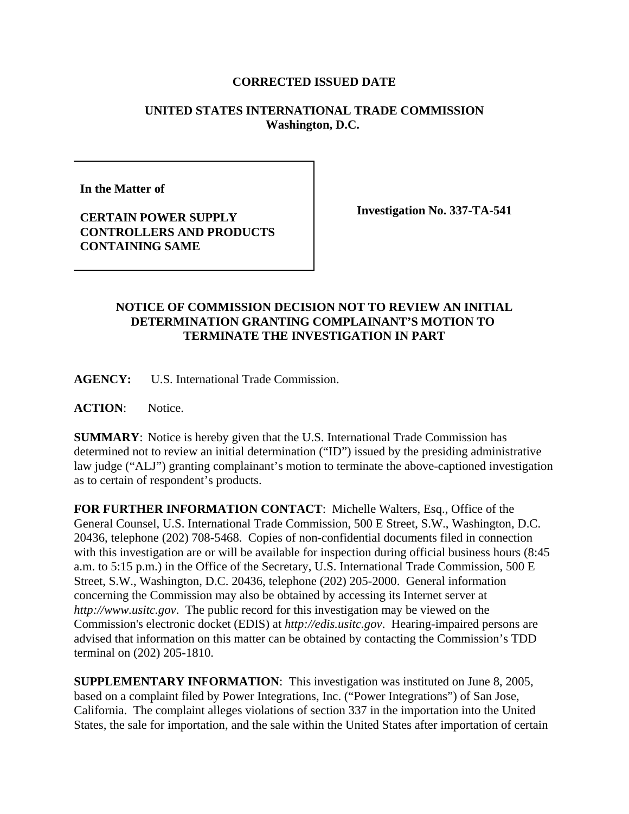## **CORRECTED ISSUED DATE**

## **UNITED STATES INTERNATIONAL TRADE COMMISSION Washington, D.C.**

**In the Matter of** 

**Investigation No. 337-TA-541**

**CERTAIN POWER SUPPLY CONTROLLERS AND PRODUCTS CONTAINING SAME**

## **NOTICE OF COMMISSION DECISION NOT TO REVIEW AN INITIAL DETERMINATION GRANTING COMPLAINANT'S MOTION TO TERMINATE THE INVESTIGATION IN PART**

**AGENCY:** U.S. International Trade Commission.

**ACTION**: Notice.

**SUMMARY**: Notice is hereby given that the U.S. International Trade Commission has determined not to review an initial determination ("ID") issued by the presiding administrative law judge ("ALJ") granting complainant's motion to terminate the above-captioned investigation as to certain of respondent's products.

**FOR FURTHER INFORMATION CONTACT**: Michelle Walters, Esq., Office of the General Counsel, U.S. International Trade Commission, 500 E Street, S.W., Washington, D.C. 20436, telephone (202) 708-5468. Copies of non-confidential documents filed in connection with this investigation are or will be available for inspection during official business hours (8:45) a.m. to 5:15 p.m.) in the Office of the Secretary, U.S. International Trade Commission, 500 E Street, S.W., Washington, D.C. 20436, telephone (202) 205-2000. General information concerning the Commission may also be obtained by accessing its Internet server at *http://www.usitc.gov*. The public record for this investigation may be viewed on the Commission's electronic docket (EDIS) at *http://edis.usitc.gov*. Hearing-impaired persons are advised that information on this matter can be obtained by contacting the Commission's TDD terminal on (202) 205-1810.

**SUPPLEMENTARY INFORMATION**: This investigation was instituted on June 8, 2005, based on a complaint filed by Power Integrations, Inc. ("Power Integrations") of San Jose, California. The complaint alleges violations of section 337 in the importation into the United States, the sale for importation, and the sale within the United States after importation of certain